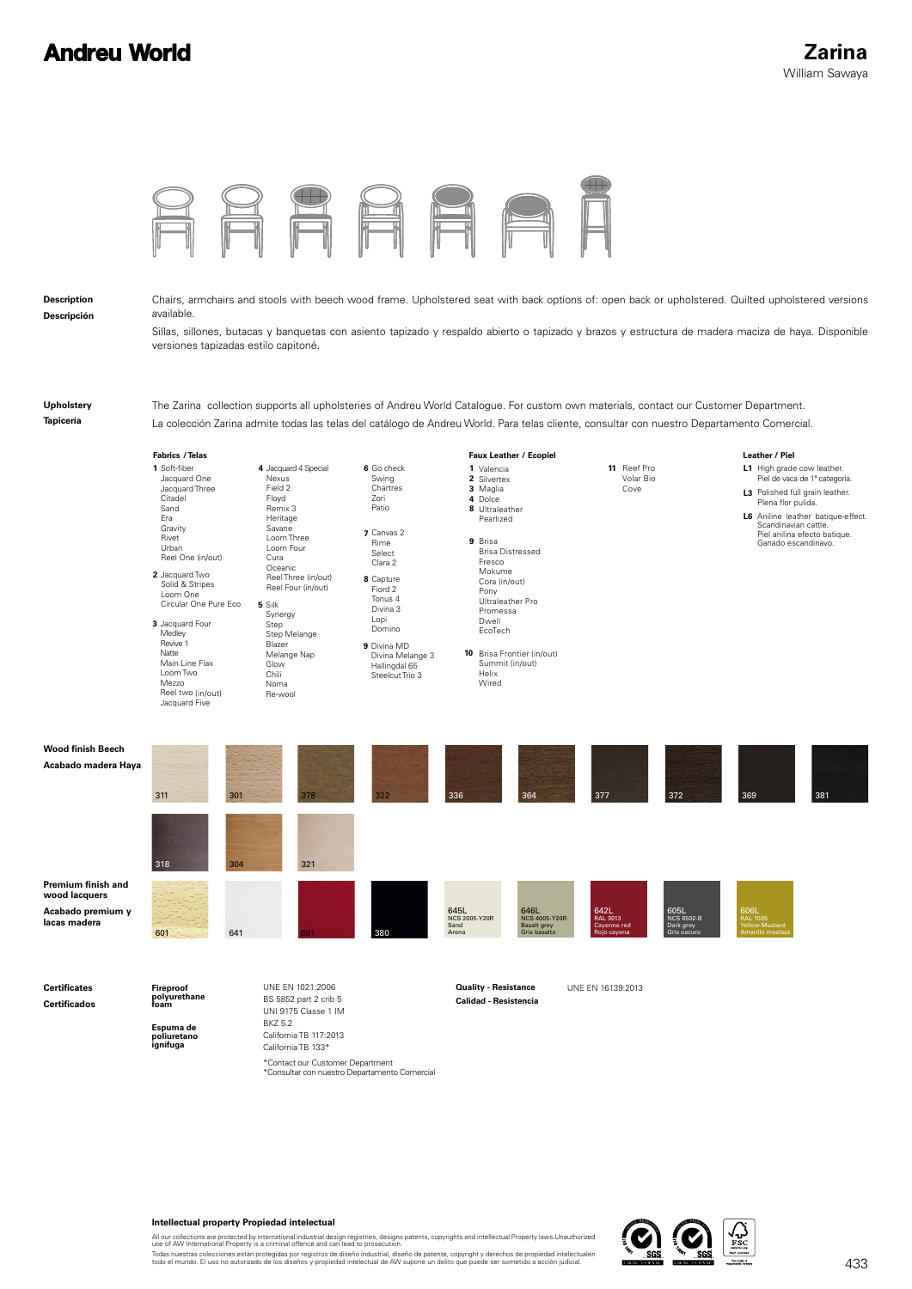## **Andreu World**



**Intellectual property Propiedad intelectual**

All our collections are protected by international industrial design registries, designs patents, copyrights and intellectual Property laws.Unauthorized<br>use of AW International Property is a criminal offence and can lead t

Todas nuestras colecciones están protegidas por registros de diseño industrial, diseño de patente, copyright y derechos de propiedad intelectualen<br>todo el mundo. El uso no autorizado de los diseños y propiedad intelectual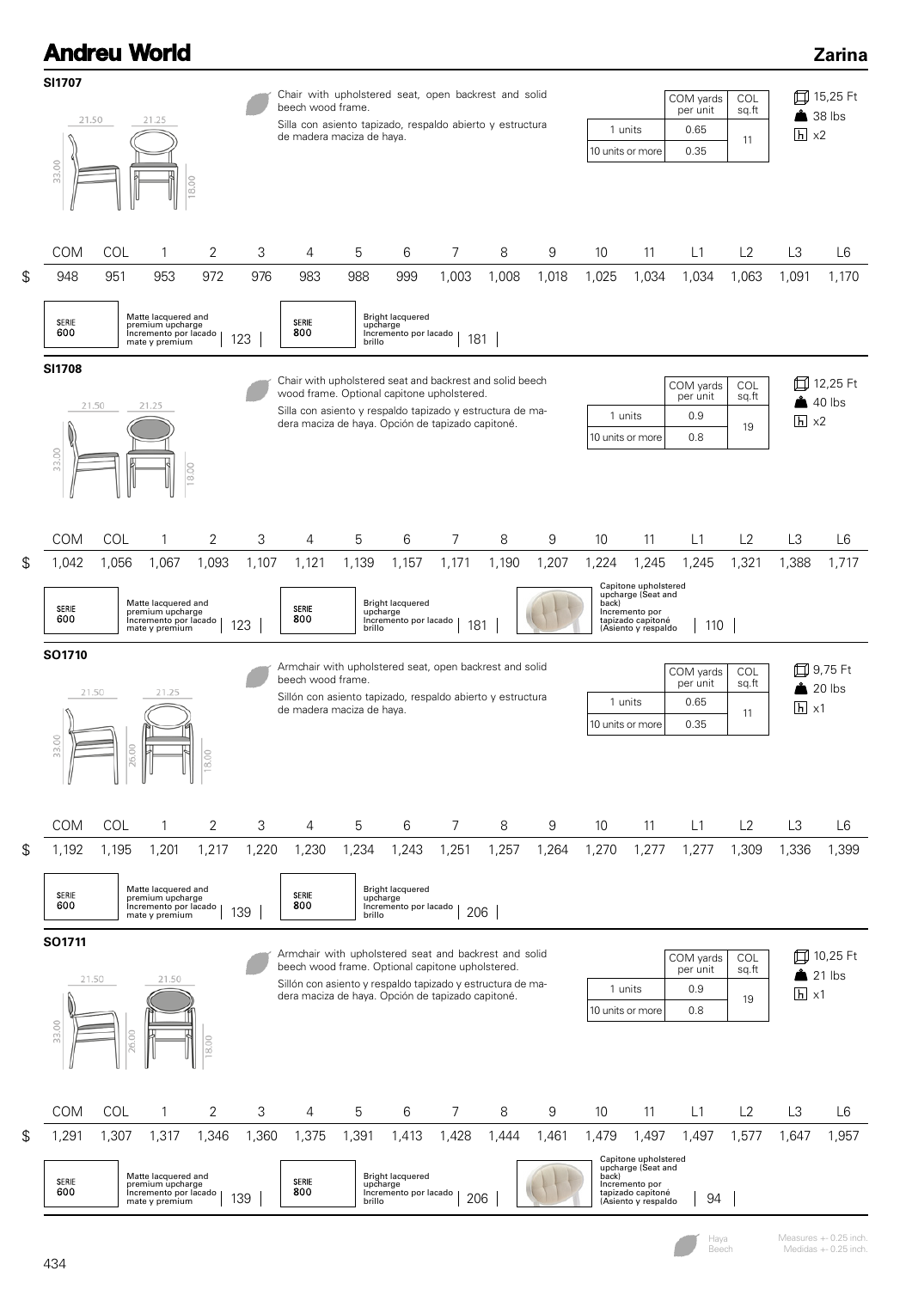## **Andreu World Zarina SI1707** Chair with upholstered seat, open backrest and solid 15,25 Ft COM yards **COL** beech wood frame. per unit sq.ft **1** 38 lbs 21.50 21.25 Silla con asiento tapizado, respaldo abierto y estructura 1 units 0.65  $h \times 2$ de madera maciza de haya. 11 0.35 10 units or more 33.00 COM COL 1 2 3 4 5 6 7 8 9 10 11 L1 L2 L3 L6 948 951 953 972 976 983 988 999 1,003 1,008 1,018 1,025 1,034 1,034 1,063 1,091 1,170 Matte lacquered and premium upcharge Incremento por lacado mate y premium 123 Bright lacquered upcharge Incremento por lacado brillo 181 600 800 **SI1708** Chair with upholstered seat and backrest and solid beech 12,25 Ft COM yards C<sub>OL</sub> wood frame. Optional capitone upholstered. per unit sq.ft  $40$  lbs 21.25 21.50 Silla con asiento y respaldo tapizado y estructura de ma-1 units 0.9  $h \times 2$ dera maciza de haya. Opción de tapizado capitoné. 19 10 units or more 0.8 13.00 COM COL 1 2 3 4 5 6 7 8 9 10 11 L1 L2 L3 L6 1,042 1,056 1,067 1,093 1,107 1,121 1,139 1,157 1,171 1,190 1,207 1,224 1,245 1,245 1,321 1,388 1,717 Capitone upholstered upcharge (Seat and back) Incremento por Matte lacquered and premium upcharge Incremento por lacado mate y premium 123 Bright lacquered upcharge SERIE SERIE 600 800 Incremento por lacado brillo 181 tapizado capitoné (Asiento y respaldo 110 **SO1710** Armchair with upholstered seat, open backrest and solid 9,75 Ft COL COM yards per unit beech wood frame. sq.ft  $20$  lbs 21.50 21.25 Sillón con asiento tapizado, respaldo abierto y estructura 0.65 1 units  $h \times 1$ de madera maciza de haya. 11 10 units or more 0.35 COM COL 1 2 3 4 5 6 7 8 9 10 11 L1 L2 L3 L6 1,192 1,195 1,201 1,217 1,220 1,230 1,234 1,243 1,251 1,257 1,264 1,270 1,277 1,277 1,309 1,336 1,399 Matte lacquered and premium upcharge Incremento por lacado mate y premium 139 Bright lacquered upcharge Incremento por lacado brillo 206 SERIE SERIE 600 800 **SO1711** Armchair with upholstered seat and backrest and solid COM yards **COL** 10,25 Ft beech wood frame. Optional capitone upholstered. per unit sq.ft  $21$  lbs 21.50 21.50 Sillón con asiento y respaldo tapizado y estructura de ma-0.9 1 units  $h \times 1$ dera maciza de haya. Opción de tapizado capitoné. 19 10 units or more 0.8 3.00 COM COL 1 2 3 4 5 6 7 8 9 10 11 L1 L2 L3 L6



\$

 $\mathfrak{L}$ 

\$

Measures +- 0.25 inch. Medidas +- 0.25 inch.

Haya Beech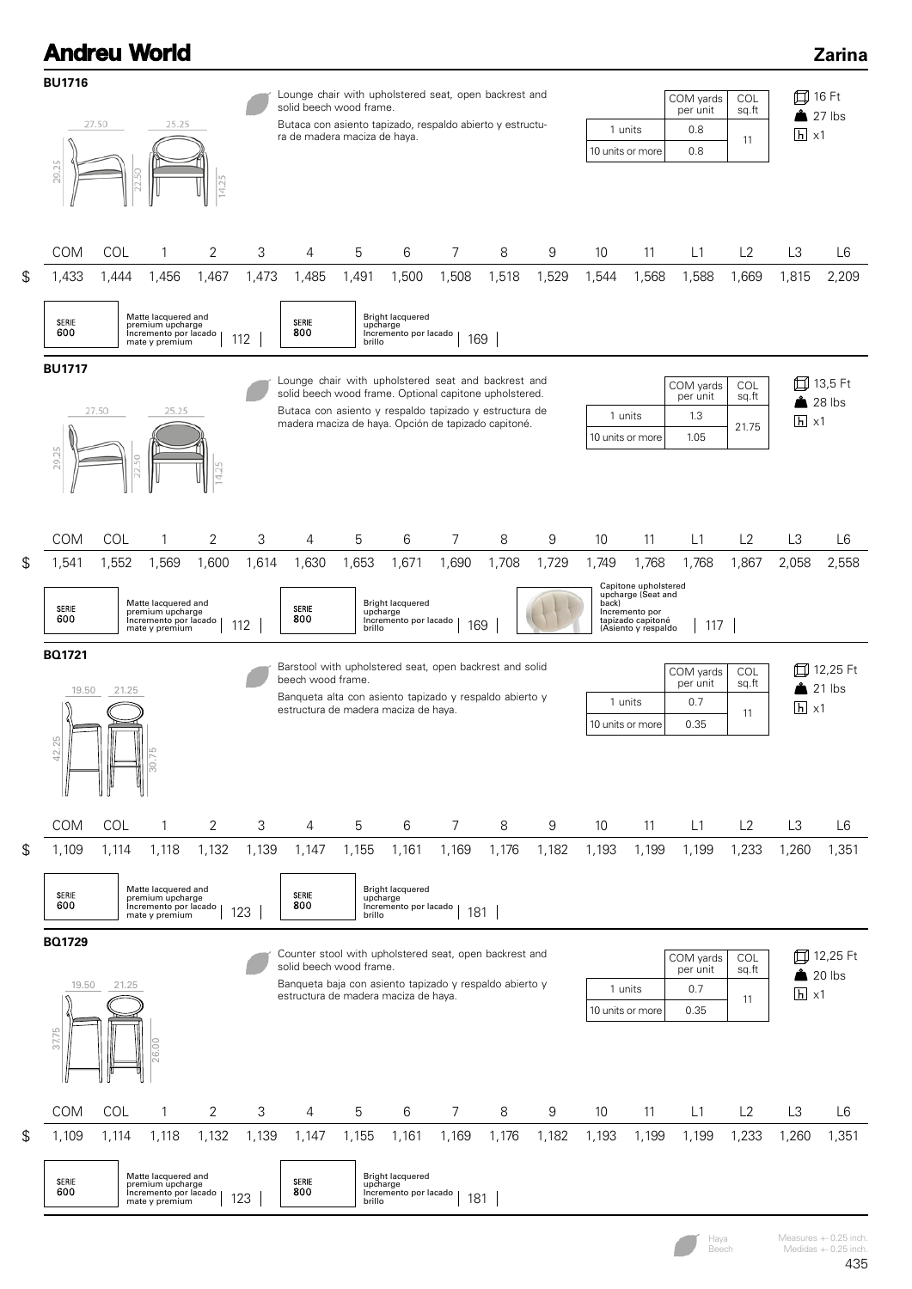

Haya Beech

Measures +- 0.25 inch. Medidas  $+-0.25$  inch.